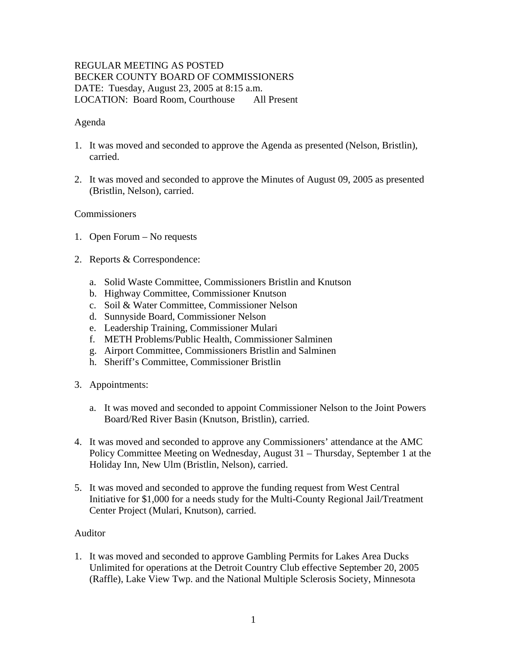# REGULAR MEETING AS POSTED BECKER COUNTY BOARD OF COMMISSIONERS DATE: Tuesday, August 23, 2005 at 8:15 a.m. LOCATION: Board Room, Courthouse All Present

## Agenda

- 1. It was moved and seconded to approve the Agenda as presented (Nelson, Bristlin), carried.
- 2. It was moved and seconded to approve the Minutes of August 09, 2005 as presented (Bristlin, Nelson), carried.

## **Commissioners**

- 1. Open Forum No requests
- 2. Reports & Correspondence:
	- a. Solid Waste Committee, Commissioners Bristlin and Knutson
	- b. Highway Committee, Commissioner Knutson
	- c. Soil & Water Committee, Commissioner Nelson
	- d. Sunnyside Board, Commissioner Nelson
	- e. Leadership Training, Commissioner Mulari
	- f. METH Problems/Public Health, Commissioner Salminen
	- g. Airport Committee, Commissioners Bristlin and Salminen
	- h. Sheriff's Committee, Commissioner Bristlin
- 3. Appointments:
	- a. It was moved and seconded to appoint Commissioner Nelson to the Joint Powers Board/Red River Basin (Knutson, Bristlin), carried.
- 4. It was moved and seconded to approve any Commissioners' attendance at the AMC Policy Committee Meeting on Wednesday, August 31 – Thursday, September 1 at the Holiday Inn, New Ulm (Bristlin, Nelson), carried.
- 5. It was moved and seconded to approve the funding request from West Central Initiative for \$1,000 for a needs study for the Multi-County Regional Jail/Treatment Center Project (Mulari, Knutson), carried.

#### Auditor

1. It was moved and seconded to approve Gambling Permits for Lakes Area Ducks Unlimited for operations at the Detroit Country Club effective September 20, 2005 (Raffle), Lake View Twp. and the National Multiple Sclerosis Society, Minnesota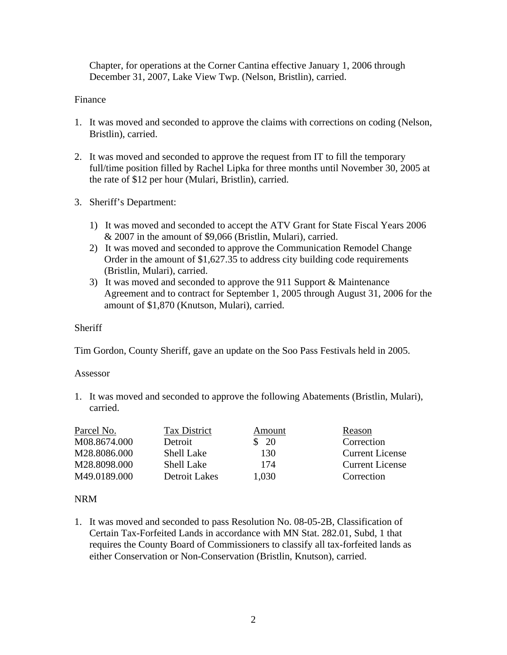Chapter, for operations at the Corner Cantina effective January 1, 2006 through December 31, 2007, Lake View Twp. (Nelson, Bristlin), carried.

### Finance

- 1. It was moved and seconded to approve the claims with corrections on coding (Nelson, Bristlin), carried.
- 2. It was moved and seconded to approve the request from IT to fill the temporary full/time position filled by Rachel Lipka for three months until November 30, 2005 at the rate of \$12 per hour (Mulari, Bristlin), carried.
- 3. Sheriff's Department:
	- 1) It was moved and seconded to accept the ATV Grant for State Fiscal Years 2006 & 2007 in the amount of \$9,066 (Bristlin, Mulari), carried.
	- 2) It was moved and seconded to approve the Communication Remodel Change Order in the amount of \$1,627.35 to address city building code requirements (Bristlin, Mulari), carried.
	- 3) It was moved and seconded to approve the 911 Support & Maintenance Agreement and to contract for September 1, 2005 through August 31, 2006 for the amount of \$1,870 (Knutson, Mulari), carried.

#### **Sheriff**

Tim Gordon, County Sheriff, gave an update on the Soo Pass Festivals held in 2005.

#### Assessor

1. It was moved and seconded to approve the following Abatements (Bristlin, Mulari), carried.

| Parcel No.   | <b>Tax District</b> | Amount                       | Reason                 |
|--------------|---------------------|------------------------------|------------------------|
| M08.8674.000 | Detroit             | $\frac{\text{S}}{\text{20}}$ | Correction             |
| M28.8086.000 | <b>Shell Lake</b>   | 130                          | <b>Current License</b> |
| M28.8098.000 | <b>Shell Lake</b>   | 174                          | <b>Current License</b> |
| M49.0189.000 | Detroit Lakes       | 1,030                        | Correction             |

#### NRM

1. It was moved and seconded to pass Resolution No. 08-05-2B, Classification of Certain Tax-Forfeited Lands in accordance with MN Stat. 282.01, Subd, 1 that requires the County Board of Commissioners to classify all tax-forfeited lands as either Conservation or Non-Conservation (Bristlin, Knutson), carried.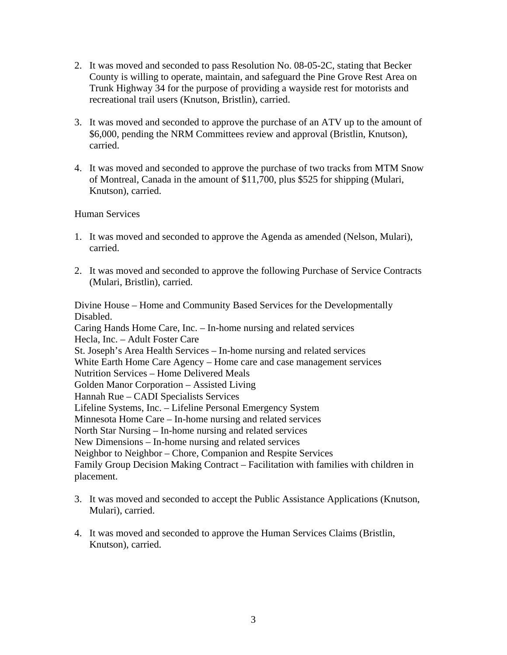- 2. It was moved and seconded to pass Resolution No. 08-05-2C, stating that Becker County is willing to operate, maintain, and safeguard the Pine Grove Rest Area on Trunk Highway 34 for the purpose of providing a wayside rest for motorists and recreational trail users (Knutson, Bristlin), carried.
- 3. It was moved and seconded to approve the purchase of an ATV up to the amount of \$6,000, pending the NRM Committees review and approval (Bristlin, Knutson), carried.
- 4. It was moved and seconded to approve the purchase of two tracks from MTM Snow of Montreal, Canada in the amount of \$11,700, plus \$525 for shipping (Mulari, Knutson), carried.

#### Human Services

- 1. It was moved and seconded to approve the Agenda as amended (Nelson, Mulari), carried.
- 2. It was moved and seconded to approve the following Purchase of Service Contracts (Mulari, Bristlin), carried.

Divine House – Home and Community Based Services for the Developmentally Disabled. Caring Hands Home Care, Inc. – In-home nursing and related services Hecla, Inc. – Adult Foster Care St. Joseph's Area Health Services – In-home nursing and related services White Earth Home Care Agency – Home care and case management services Nutrition Services – Home Delivered Meals Golden Manor Corporation – Assisted Living Hannah Rue – CADI Specialists Services Lifeline Systems, Inc. – Lifeline Personal Emergency System Minnesota Home Care – In-home nursing and related services North Star Nursing – In-home nursing and related services New Dimensions – In-home nursing and related services Neighbor to Neighbor – Chore, Companion and Respite Services Family Group Decision Making Contract – Facilitation with families with children in placement.

- 3. It was moved and seconded to accept the Public Assistance Applications (Knutson, Mulari), carried.
- 4. It was moved and seconded to approve the Human Services Claims (Bristlin, Knutson), carried.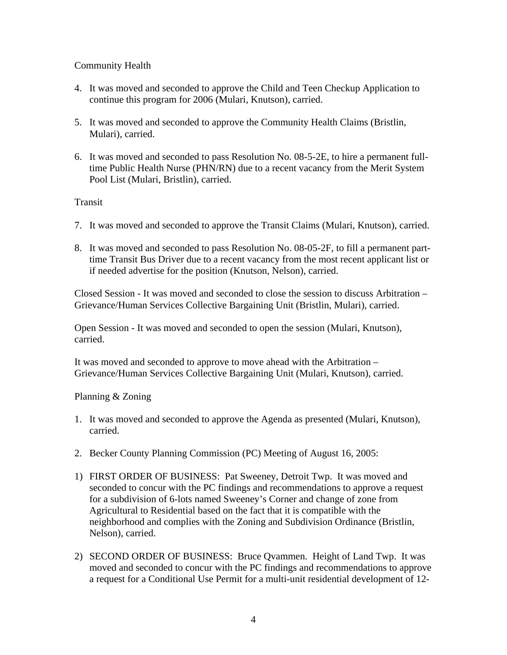## Community Health

- 4. It was moved and seconded to approve the Child and Teen Checkup Application to continue this program for 2006 (Mulari, Knutson), carried.
- 5. It was moved and seconded to approve the Community Health Claims (Bristlin, Mulari), carried.
- 6. It was moved and seconded to pass Resolution No. 08-5-2E, to hire a permanent fulltime Public Health Nurse (PHN/RN) due to a recent vacancy from the Merit System Pool List (Mulari, Bristlin), carried.

Transit

- 7. It was moved and seconded to approve the Transit Claims (Mulari, Knutson), carried.
- 8. It was moved and seconded to pass Resolution No. 08-05-2F, to fill a permanent parttime Transit Bus Driver due to a recent vacancy from the most recent applicant list or if needed advertise for the position (Knutson, Nelson), carried.

Closed Session - It was moved and seconded to close the session to discuss Arbitration – Grievance/Human Services Collective Bargaining Unit (Bristlin, Mulari), carried.

Open Session - It was moved and seconded to open the session (Mulari, Knutson), carried.

It was moved and seconded to approve to move ahead with the Arbitration – Grievance/Human Services Collective Bargaining Unit (Mulari, Knutson), carried.

Planning & Zoning

- 1. It was moved and seconded to approve the Agenda as presented (Mulari, Knutson), carried.
- 2. Becker County Planning Commission (PC) Meeting of August 16, 2005:
- 1) FIRST ORDER OF BUSINESS: Pat Sweeney, Detroit Twp. It was moved and seconded to concur with the PC findings and recommendations to approve a request for a subdivision of 6-lots named Sweeney's Corner and change of zone from Agricultural to Residential based on the fact that it is compatible with the neighborhood and complies with the Zoning and Subdivision Ordinance (Bristlin, Nelson), carried.
- 2) SECOND ORDER OF BUSINESS: Bruce Qvammen. Height of Land Twp. It was moved and seconded to concur with the PC findings and recommendations to approve a request for a Conditional Use Permit for a multi-unit residential development of 12-